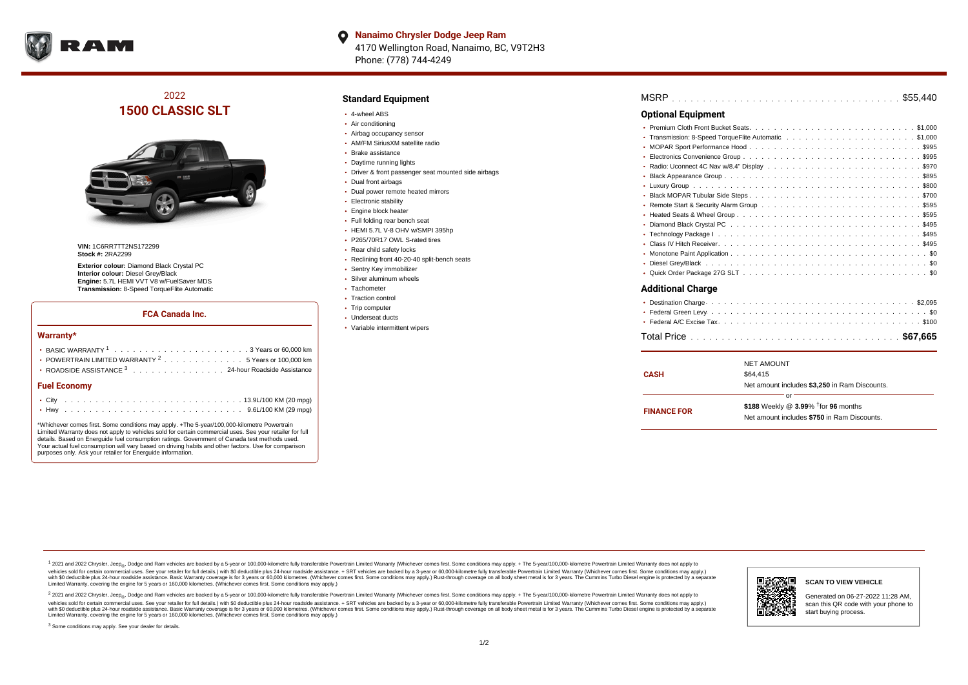

## 2022 **1500 CLASSIC SLT**



**VIN:** 1C6RR7TT2NS172299 **Stock #:** 2RA2299

**Exterior colour:** Diamond Black Crystal PC **Interior colour:** Diesel Grey/Black **Engine:** 5.7L HEMI VVT V8 w/FuelSaver MDS **Transmission:** 8-Speed TorqueFlite Automatic

### **FCA Canada Inc.**

#### **Warranty\***

| <b>Fuel Economy</b>                                              |  |  |  |  |  |
|------------------------------------------------------------------|--|--|--|--|--|
| ROADSIDE ASSISTANCE 3 24-hour Roadside Assistance                |  |  |  |  |  |
| • POWERTRAIN LIMITED WARRANTY <sup>2</sup> 5 Years or 100.000 km |  |  |  |  |  |
|                                                                  |  |  |  |  |  |

\*Whichever comes first. Some conditions may apply. +The 5-year/100,000-kilometre Powertrain Limited Warranty does not apply to vehicles sold for certain commercial uses. See your retailer for full details. Based on Energuide fuel consumption ratings. Government of Canada test methods used. Your actual fuel consumption will vary based on driving habits and other factors. Use for comparison purposes only. Ask your retailer for Energuide information.

#### **Standard Equipment**

- 4-wheel ABS
- Air conditioning
- Airbag occupancy sensor
- AM/FM SiriusXM satellite radio
- Brake assistance
- Daytime running lights
- Driver & front passenger seat mounted side airbags
- Dual front airbags
- Dual power remote heated mirrors
- **Electronic stability**
- **Engine block heater**
- Full folding rear bench seat
- HEMI 5.7L V-8 OHV w/SMPI 395hp
- P265/70R17 OWL S-rated tires
- Rear child safety locks
- Reclining front 40-20-40 split-bench seats
- Sentry Key immobilizer
- Silver aluminum wheels
- Tachometer
- Traction control
- Trip computer Underseat ducts
- Variable intermittent wipers

| MSRP |  |  |  |  |  |  |  |  |  |  |  |  |  |  |  |  |  |  |  |  |  |  |  |  |  |  |  |  |  |  |  |  |  |  |  |  |  |
|------|--|--|--|--|--|--|--|--|--|--|--|--|--|--|--|--|--|--|--|--|--|--|--|--|--|--|--|--|--|--|--|--|--|--|--|--|--|
|------|--|--|--|--|--|--|--|--|--|--|--|--|--|--|--|--|--|--|--|--|--|--|--|--|--|--|--|--|--|--|--|--|--|--|--|--|--|

### **Optional Equipment**

#### **Additional Charge**

| <b>CASH</b>        | <b>NET AMOUNT</b><br>\$64,415<br>Net amount includes \$3,250 in Ram Discounts.                       |
|--------------------|------------------------------------------------------------------------------------------------------|
| <b>FINANCE FOR</b> | Ωr<br>\$188 Weekly @ 3.99% <sup>†</sup> for 96 months<br>Net amount includes \$750 in Ram Discounts. |

<sup>1</sup> 2021 and 2022 Chrysler, Jeep<sub>®</sub>, Dodge and Ram vehicles are backed by a 5-year or 100,000-kilometre fully transferable Powertrain Limited Warranty (Whichever comes first. Some conditions may apply. + The 5-year/100,000 vehicles sold for certain commercial uses. See your retailer for full details.) with \$0 deductible plus 24-hour roadside assistance. + SRT vehicles are backed by a 3-year or 60,000-kilometre fully transferable Powertrain L versus and contract the mean of the contract of the contract with a contract with a contract the contract of the contract of the contract the contract of the contract of the contract of the contract of the contract of the Limited Warranty, covering the engine for 5 years or 160,000 kilometres. (Whichever comes first. Some conditions may apply.)

2 2021 and 2022 Chrysler, Jeep<sub>®</sub>, Dodge and Ram vehicles are backed by a 5-year or 100,000-kilometre fully transferable Powertrain Limited Warranty (Whichever comes first. Some conditions may apply. + The 5-year/100,000-k vehicles sold for certain commercial uses. See your retailer for full details.) with SO deductible plus 24-hour roadside assistance. + SRT vehicles are backed by a 3-year or 60.000-kilometre fully transferable Powertrain. with S0 deductible plus 24-hour roadside assistance. Basic Warranty coverage is for 3 years or 60,000 kilometres. (Whichever comes first. Some conditions may apply.) Rust-through coverage on all body sheet metal is for 3 y



#### **SCAN TO VIEW VEHICLE**

Generated on 06-27-2022 11:28 AM, scan this QR code with your phone to start buying process.

<sup>3</sup> Some conditions may apply. See your dealer for details.